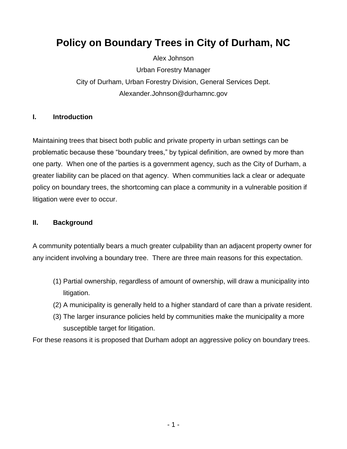# **Policy on Boundary Trees in City of Durham, NC**

Alex Johnson

Urban Forestry Manager City of Durham, Urban Forestry Division, General Services Dept. Alexander.Johnson@durhamnc.gov

#### **I. Introduction**

Maintaining trees that bisect both public and private property in urban settings can be problematic because these "boundary trees," by typical definition, are owned by more than one party. When one of the parties is a government agency, such as the City of Durham, a greater liability can be placed on that agency. When communities lack a clear or adequate policy on boundary trees, the shortcoming can place a community in a vulnerable position if litigation were ever to occur.

#### **II. Background**

A community potentially bears a much greater culpability than an adjacent property owner for any incident involving a boundary tree. There are three main reasons for this expectation.

- (1) Partial ownership, regardless of amount of ownership, will draw a municipality into litigation.
- (2) A municipality is generally held to a higher standard of care than a private resident.
- (3) The larger insurance policies held by communities make the municipality a more susceptible target for litigation.

For these reasons it is proposed that Durham adopt an aggressive policy on boundary trees.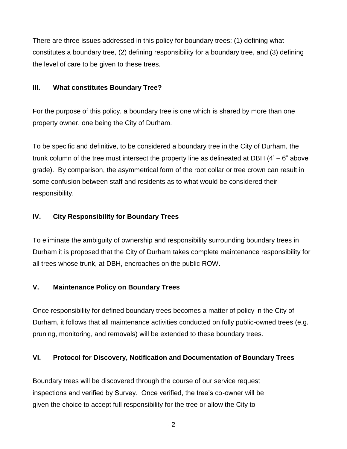There are three issues addressed in this policy for boundary trees: (1) defining what constitutes a boundary tree, (2) defining responsibility for a boundary tree, and (3) defining the level of care to be given to these trees.

#### **III. What constitutes Boundary Tree?**

For the purpose of this policy, a boundary tree is one which is shared by more than one property owner, one being the City of Durham.

To be specific and definitive, to be considered a boundary tree in the City of Durham, the trunk column of the tree must intersect the property line as delineated at DBH  $(4<sup>7</sup> - 6<sup>7</sup>$  above grade). By comparison, the asymmetrical form of the root collar or tree crown can result in some confusion between staff and residents as to what would be considered their responsibility.

## **IV. City Responsibility for Boundary Trees**

To eliminate the ambiguity of ownership and responsibility surrounding boundary trees in Durham it is proposed that the City of Durham takes complete maintenance responsibility for all trees whose trunk, at DBH, encroaches on the public ROW.

## **V. Maintenance Policy on Boundary Trees**

Once responsibility for defined boundary trees becomes a matter of policy in the City of Durham, it follows that all maintenance activities conducted on fully public-owned trees (e.g. pruning, monitoring, and removals) will be extended to these boundary trees.

### **VI. Protocol for Discovery, Notification and Documentation of Boundary Trees**

Boundary trees will be discovered through the course of our service request inspections and verified by Survey. Once verified, the tree's co-owner will be given the choice to accept full responsibility for the tree or allow the City to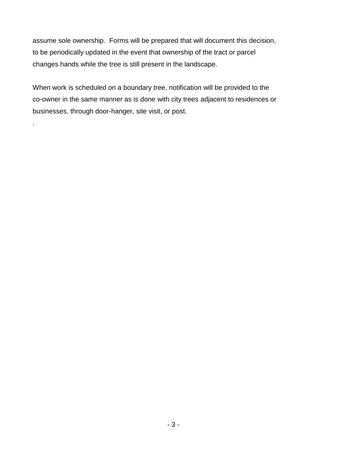assume sole ownership. Forms will be prepared that will document this decision, to be periodically updated in the event that ownership of the tract or parcel changes hands while the tree is still present in the landscape.

When work is scheduled on a boundary tree, notification will be provided to the co-owner in the same manner as is done with city trees adjacent to residences or businesses, through door-hanger, site visit, or post.

.